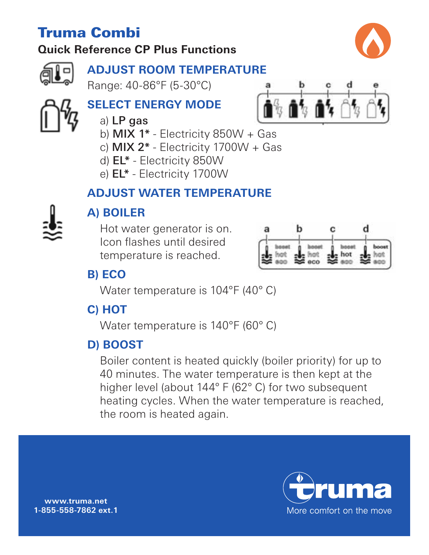# Truma Combi

# **Quick Reference CP Plus Functions**



### **ADJUST ROOM TEMPERATURE**

Range: 40-86°F (5-30°C)

# **SELECT ENERGY MODE**

 $\mathbf{a}^{\mathsf{g}}$  ,  $\mathbf{a}^{\mathsf{f}}$  ,  $\mathbf{a}^{\mathsf{f}}$  ,  $\mathsf{f}$ 

- a) LP gas
	- b)  $MIX$  1\* Electricity 850W + Gas
	- c)  $MIX 2^*$  Electricity 1700 $W + Gas$
	- d) EL\* Electricity 850W
	- e) EL\* Electricity 1700W

### **ADJUST WATER TEMPERATURE**



# **A) BOILER**

Hot water generator is on. Icon flashes until desired temperature is reached.



# **B) ECO**

Water temperature is 104°F (40° C)

# **C) HOT**

Water temperature is 140°F (60° C)

# **D) BOOST**

Boiler content is heated quickly (boiler priority) for up to 40 minutes. The water temperature is then kept at the higher level (about 144° F (62° C) for two subsequent heating cycles. When the water temperature is reached, the room is heated again.



**www.truma.net 1-855-558-7862 ext. 1**